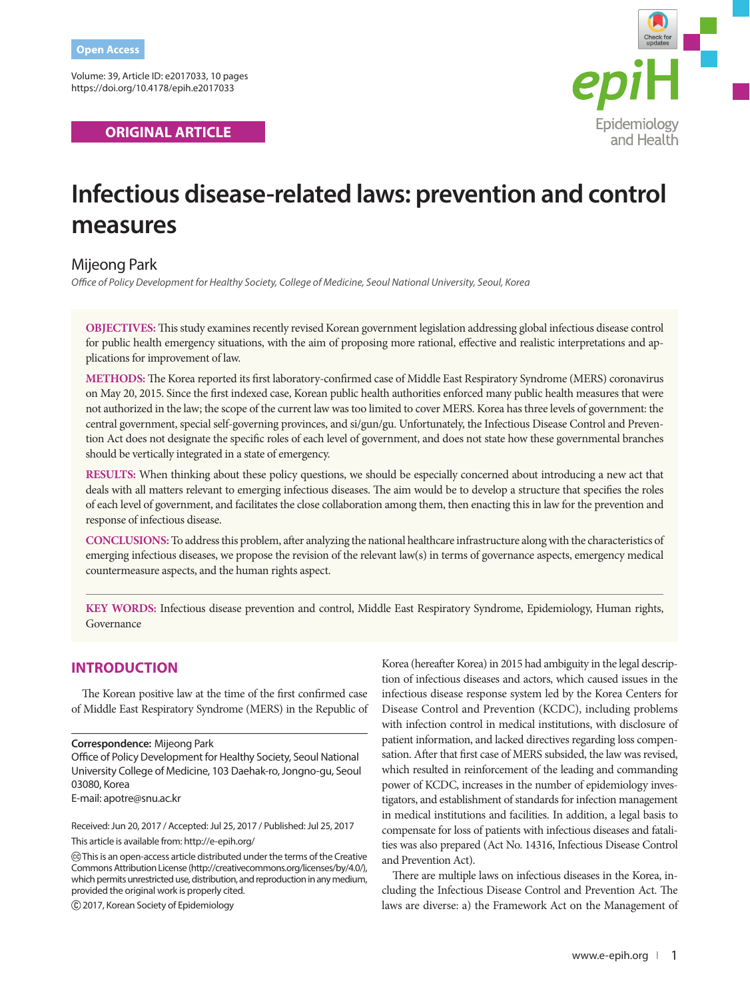Volume: 39, Article ID: e2017033, 10 pages https://doi.org/10.4178/epih.e2017033

**ORIGINAL ARTICLE** 



# **Infectious disease-related laws: prevention and control measures**

# Mijeong Park

*Office of Policy Development for Healthy Society, College of Medicine, Seoul National University, Seoul, Korea*

**OBJECTIVES:** This study examines recently revised Korean government legislation addressing global infectious disease control for public health emergency situations, with the aim of proposing more rational, effective and realistic interpretations and applications for improvement of law.

**METHODS:** The Korea reported its first laboratory-confirmed case of Middle East Respiratory Syndrome (MERS) coronavirus on May 20, 2015. Since the first indexed case, Korean public health authorities enforced many public health measures that were not authorized in the law; the scope of the current law was too limited to cover MERS. Korea has three levels of government: the central government, special self-governing provinces, and si/gun/gu. Unfortunately, the Infectious Disease Control and Prevention Act does not designate the specific roles of each level of government, and does not state how these governmental branches should be vertically integrated in a state of emergency.

**RESULTS:** When thinking about these policy questions, we should be especially concerned about introducing a new act that deals with all matters relevant to emerging infectious diseases. The aim would be to develop a structure that specifies the roles of each level of government, and facilitates the close collaboration among them, then enacting this in law for the prevention and response of infectious disease.

**CONCLUSIONS:** To address this problem, after analyzing the national healthcare infrastructure along with the characteristics of emerging infectious diseases, we propose the revision of the relevant law(s) in terms of governance aspects, emergency medical countermeasure aspects, and the human rights aspect.

**KEY WORDS:** Infectious disease prevention and control, Middle East Respiratory Syndrome, Epidemiology, Human rights, Governance

## **INTRODUCTION**

The Korean positive law at the time of the first confirmed case of Middle East Respiratory Syndrome (MERS) in the Republic of

#### **Correspondence:** Mijeong Park

Office of Policy Development for Healthy Society, Seoul National University College of Medicine, 103 Daehak-ro, Jongno-gu, Seoul 03080, Korea

E-mail: apotre@snu.ac.kr

Received: Jun 20, 2017 / Accepted: Jul 25, 2017 / Published: Jul 25, 2017

This article is available from: http://e-epih.org/

2017, Korean Society of Epidemiology

Korea (hereafter Korea) in 2015 had ambiguity in the legal description of infectious diseases and actors, which caused issues in the infectious disease response system led by the Korea Centers for Disease Control and Prevention (KCDC), including problems with infection control in medical institutions, with disclosure of patient information, and lacked directives regarding loss compensation. After that first case of MERS subsided, the law was revised, which resulted in reinforcement of the leading and commanding power of KCDC, increases in the number of epidemiology investigators, and establishment of standards for infection management in medical institutions and facilities. In addition, a legal basis to compensate for loss of patients with infectious diseases and fatalities was also prepared (Act No. 14316, Infectious Disease Control and Prevention Act).

There are multiple laws on infectious diseases in the Korea, including the Infectious Disease Control and Prevention Act. The laws are diverse: a) the Framework Act on the Management of

This is an open-access article distributed under the terms of the Creative Commons Attribution License (http://creativecommons.org/licenses/by/4.0/), which permits unrestricted use, distribution, and reproduction in any medium, provided the original work is properly cited.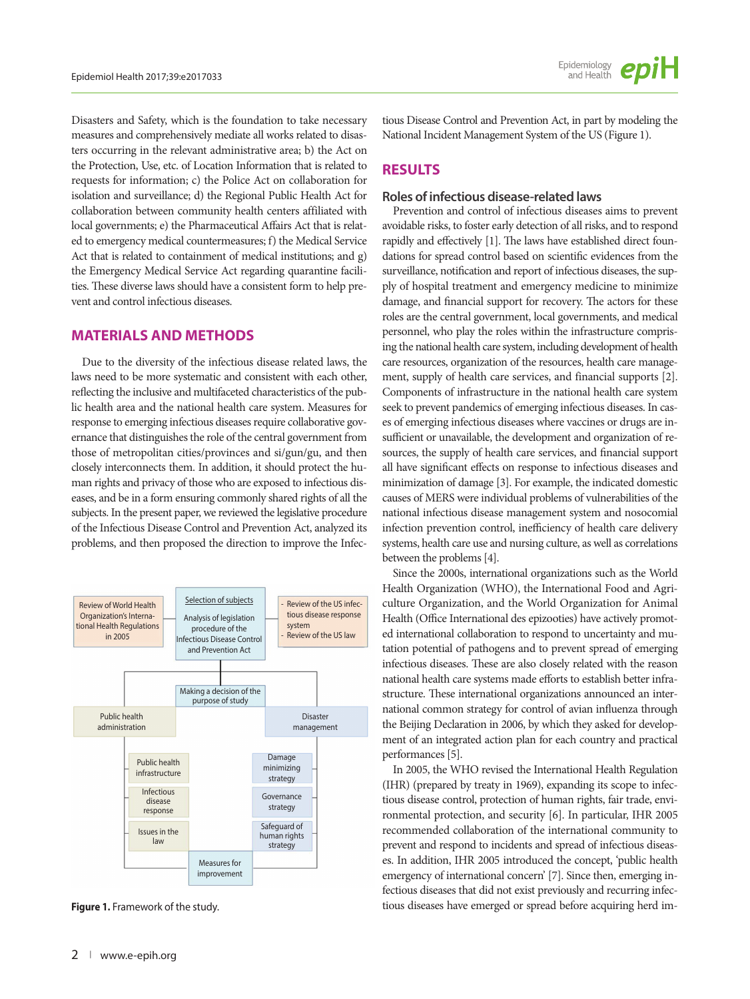Disasters and Safety, which is the foundation to take necessary measures and comprehensively mediate all works related to disasters occurring in the relevant administrative area; b) the Act on the Protection, Use, etc. of Location Information that is related to requests for information; c) the Police Act on collaboration for isolation and surveillance; d) the Regional Public Health Act for collaboration between community health centers affiliated with local governments; e) the Pharmaceutical Affairs Act that is related to emergency medical countermeasures; f) the Medical Service Act that is related to containment of medical institutions; and g) the Emergency Medical Service Act regarding quarantine facilities. These diverse laws should have a consistent form to help prevent and control infectious diseases.

## **MATERIALS AND METHODS**

Due to the diversity of the infectious disease related laws, the laws need to be more systematic and consistent with each other, reflecting the inclusive and multifaceted characteristics of the public health area and the national health care system. Measures for response to emerging infectious diseases require collaborative governance that distinguishes the role of the central government from those of metropolitan cities/provinces and si/gun/gu, and then closely interconnects them. In addition, it should protect the human rights and privacy of those who are exposed to infectious diseases, and be in a form ensuring commonly shared rights of all the subjects. In the present paper, we reviewed the legislative procedure of the Infectious Disease Control and Prevention Act, analyzed its problems, and then proposed the direction to improve the Infec-



**Figure 1.** Framework of the study.

tious Disease Control and Prevention Act, in part by modeling the National Incident Management System of the US (Figure 1).

# **RESULTS**

#### **Roles of infectious disease-related laws**

Prevention and control of infectious diseases aims to prevent avoidable risks, to foster early detection of all risks, and to respond rapidly and effectively [1]. The laws have established direct foundations for spread control based on scientific evidences from the surveillance, notification and report of infectious diseases, the supply of hospital treatment and emergency medicine to minimize damage, and financial support for recovery. The actors for these roles are the central government, local governments, and medical personnel, who play the roles within the infrastructure comprising the national health care system, including development of health care resources, organization of the resources, health care management, supply of health care services, and financial supports [2]. Components of infrastructure in the national health care system seek to prevent pandemics of emerging infectious diseases. In cases of emerging infectious diseases where vaccines or drugs are insufficient or unavailable, the development and organization of resources, the supply of health care services, and financial support all have significant effects on response to infectious diseases and minimization of damage [3]. For example, the indicated domestic causes of MERS were individual problems of vulnerabilities of the national infectious disease management system and nosocomial infection prevention control, inefficiency of health care delivery systems, health care use and nursing culture, as well as correlations between the problems [4].

Since the 2000s, international organizations such as the World Health Organization (WHO), the International Food and Agriculture Organization, and the World Organization for Animal Health (Office International des epizooties) have actively promoted international collaboration to respond to uncertainty and mutation potential of pathogens and to prevent spread of emerging infectious diseases. These are also closely related with the reason national health care systems made efforts to establish better infrastructure. These international organizations announced an international common strategy for control of avian influenza through the Beijing Declaration in 2006, by which they asked for development of an integrated action plan for each country and practical performances [5].

In 2005, the WHO revised the International Health Regulation (IHR) (prepared by treaty in 1969), expanding its scope to infectious disease control, protection of human rights, fair trade, environmental protection, and security [6]. In particular, IHR 2005 recommended collaboration of the international community to prevent and respond to incidents and spread of infectious diseases. In addition, IHR 2005 introduced the concept, 'public health emergency of international concern' [7]. Since then, emerging infectious diseases that did not exist previously and recurring infectious diseases have emerged or spread before acquiring herd im-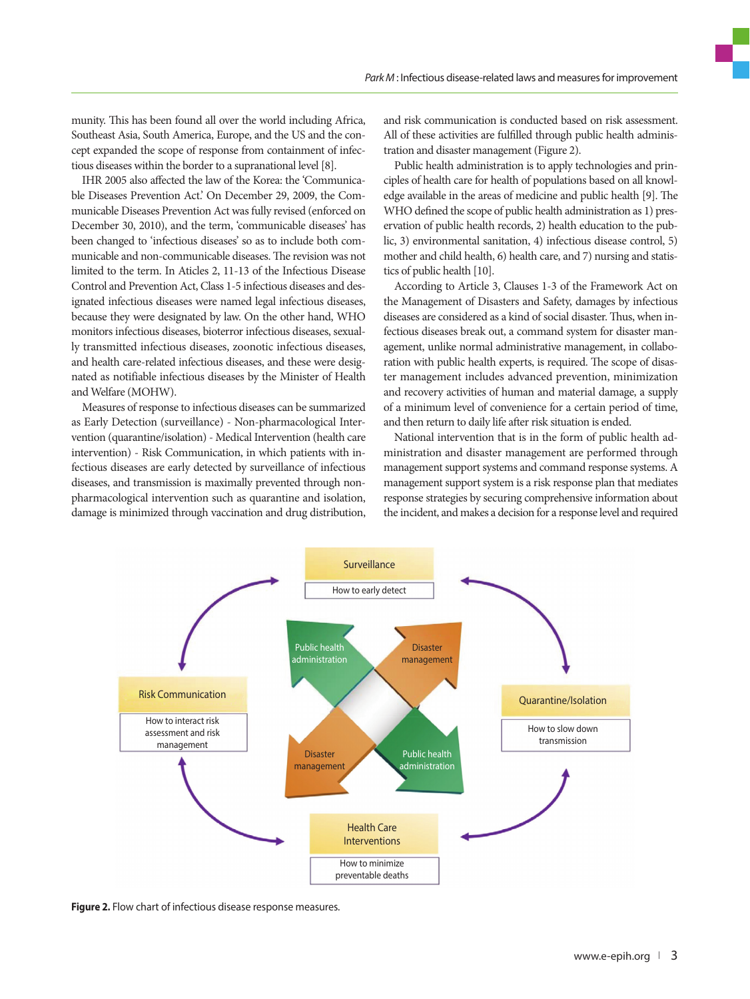munity. This has been found all over the world including Africa, Southeast Asia, South America, Europe, and the US and the concept expanded the scope of response from containment of infectious diseases within the border to a supranational level [8].

IHR 2005 also affected the law of the Korea: the 'Communicable Diseases Prevention Act.' On December 29, 2009, the Communicable Diseases Prevention Act was fully revised (enforced on December 30, 2010), and the term, 'communicable diseases' has been changed to 'infectious diseases' so as to include both communicable and non-communicable diseases. The revision was not limited to the term. In Aticles 2, 11-13 of the Infectious Disease Control and Prevention Act, Class 1-5 infectious diseases and designated infectious diseases were named legal infectious diseases, because they were designated by law. On the other hand, WHO monitors infectious diseases, bioterror infectious diseases, sexually transmitted infectious diseases, zoonotic infectious diseases, and health care-related infectious diseases, and these were designated as notifiable infectious diseases by the Minister of Health and Welfare (MOHW).

Measures of response to infectious diseases can be summarized as Early Detection (surveillance) - Non-pharmacological Intervention (quarantine/isolation) - Medical Intervention (health care intervention) - Risk Communication, in which patients with infectious diseases are early detected by surveillance of infectious diseases, and transmission is maximally prevented through nonpharmacological intervention such as quarantine and isolation, damage is minimized through vaccination and drug distribution, and risk communication is conducted based on risk assessment. All of these activities are fulfilled through public health administration and disaster management (Figure 2).

Public health administration is to apply technologies and principles of health care for health of populations based on all knowledge available in the areas of medicine and public health [9]. The WHO defined the scope of public health administration as 1) preservation of public health records, 2) health education to the public, 3) environmental sanitation, 4) infectious disease control, 5) mother and child health, 6) health care, and 7) nursing and statistics of public health [10].

According to Article 3, Clauses 1-3 of the Framework Act on the Management of Disasters and Safety, damages by infectious diseases are considered as a kind of social disaster. Thus, when infectious diseases break out, a command system for disaster management, unlike normal administrative management, in collaboration with public health experts, is required. The scope of disaster management includes advanced prevention, minimization and recovery activities of human and material damage, a supply of a minimum level of convenience for a certain period of time, and then return to daily life after risk situation is ended.

National intervention that is in the form of public health administration and disaster management are performed through management support systems and command response systems. A management support system is a risk response plan that mediates response strategies by securing comprehensive information about the incident, and makes a decision for a response level and required



**Figure 2.** Flow chart of infectious disease response measures.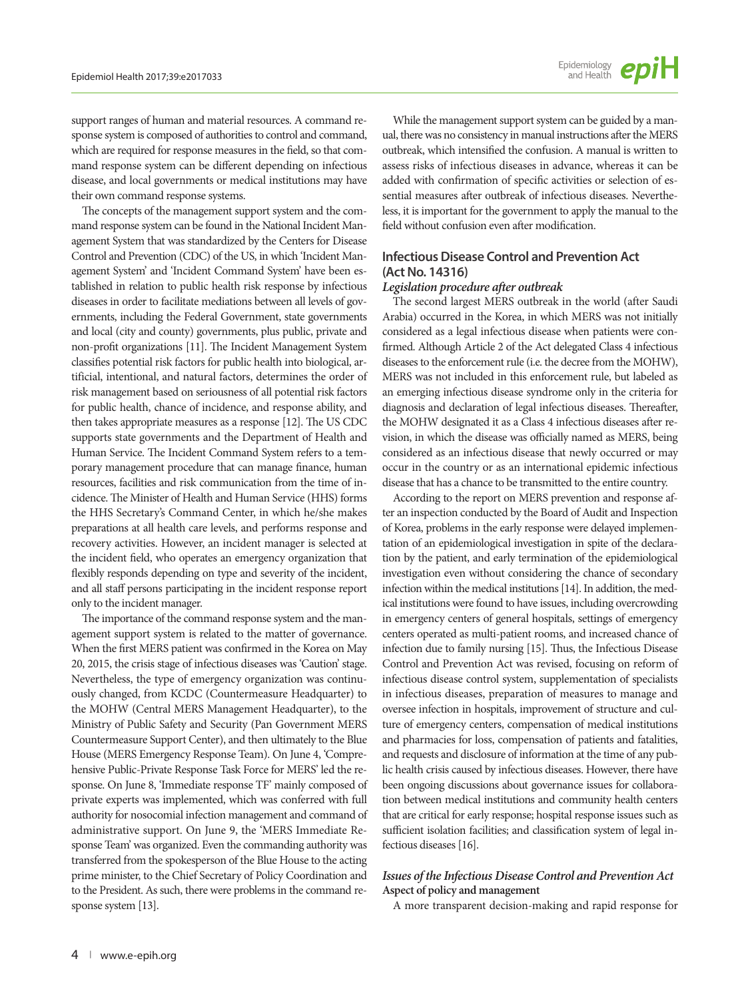support ranges of human and material resources. A command response system is composed of authorities to control and command, which are required for response measures in the field, so that command response system can be different depending on infectious disease, and local governments or medical institutions may have their own command response systems.

The concepts of the management support system and the command response system can be found in the National Incident Management System that was standardized by the Centers for Disease Control and Prevention (CDC) of the US, in which 'Incident Management System' and 'Incident Command System' have been established in relation to public health risk response by infectious diseases in order to facilitate mediations between all levels of governments, including the Federal Government, state governments and local (city and county) governments, plus public, private and non-profit organizations [11]. The Incident Management System classifies potential risk factors for public health into biological, artificial, intentional, and natural factors, determines the order of risk management based on seriousness of all potential risk factors for public health, chance of incidence, and response ability, and then takes appropriate measures as a response [12]. The US CDC supports state governments and the Department of Health and Human Service. The Incident Command System refers to a temporary management procedure that can manage finance, human resources, facilities and risk communication from the time of incidence. The Minister of Health and Human Service (HHS) forms the HHS Secretary's Command Center, in which he/she makes preparations at all health care levels, and performs response and recovery activities. However, an incident manager is selected at the incident field, who operates an emergency organization that flexibly responds depending on type and severity of the incident, and all staff persons participating in the incident response report only to the incident manager.

The importance of the command response system and the management support system is related to the matter of governance. When the first MERS patient was confirmed in the Korea on May 20, 2015, the crisis stage of infectious diseases was 'Caution' stage. Nevertheless, the type of emergency organization was continuously changed, from KCDC (Countermeasure Headquarter) to the MOHW (Central MERS Management Headquarter), to the Ministry of Public Safety and Security (Pan Government MERS Countermeasure Support Center), and then ultimately to the Blue House (MERS Emergency Response Team). On June 4, 'Comprehensive Public-Private Response Task Force for MERS' led the response. On June 8, 'Immediate response TF' mainly composed of private experts was implemented, which was conferred with full authority for nosocomial infection management and command of administrative support. On June 9, the 'MERS Immediate Response Team' was organized. Even the commanding authority was transferred from the spokesperson of the Blue House to the acting prime minister, to the Chief Secretary of Policy Coordination and to the President. As such, there were problems in the command response system [13].

While the management support system can be guided by a manual, there was no consistency in manual instructions after the MERS outbreak, which intensified the confusion. A manual is written to assess risks of infectious diseases in advance, whereas it can be added with confirmation of specific activities or selection of essential measures after outbreak of infectious diseases. Nevertheless, it is important for the government to apply the manual to the field without confusion even after modification.

## **Infectious Disease Control and Prevention Act (Act No. 14316)**

#### *Legislation procedure after outbreak*

The second largest MERS outbreak in the world (after Saudi Arabia) occurred in the Korea, in which MERS was not initially considered as a legal infectious disease when patients were confirmed. Although Article 2 of the Act delegated Class 4 infectious diseases to the enforcement rule (i.e. the decree from the MOHW), MERS was not included in this enforcement rule, but labeled as an emerging infectious disease syndrome only in the criteria for diagnosis and declaration of legal infectious diseases. Thereafter, the MOHW designated it as a Class 4 infectious diseases after revision, in which the disease was officially named as MERS, being considered as an infectious disease that newly occurred or may occur in the country or as an international epidemic infectious disease that has a chance to be transmitted to the entire country.

According to the report on MERS prevention and response after an inspection conducted by the Board of Audit and Inspection of Korea, problems in the early response were delayed implementation of an epidemiological investigation in spite of the declaration by the patient, and early termination of the epidemiological investigation even without considering the chance of secondary infection within the medical institutions [14]. In addition, the medical institutions were found to have issues, including overcrowding in emergency centers of general hospitals, settings of emergency centers operated as multi-patient rooms, and increased chance of infection due to family nursing [15]. Thus, the Infectious Disease Control and Prevention Act was revised, focusing on reform of infectious disease control system, supplementation of specialists in infectious diseases, preparation of measures to manage and oversee infection in hospitals, improvement of structure and culture of emergency centers, compensation of medical institutions and pharmacies for loss, compensation of patients and fatalities, and requests and disclosure of information at the time of any public health crisis caused by infectious diseases. However, there have been ongoing discussions about governance issues for collaboration between medical institutions and community health centers that are critical for early response; hospital response issues such as sufficient isolation facilities; and classification system of legal infectious diseases [16].

#### *Issues of the Infectious Disease Control and Prevention Act* **Aspect of policy and management**

A more transparent decision-making and rapid response for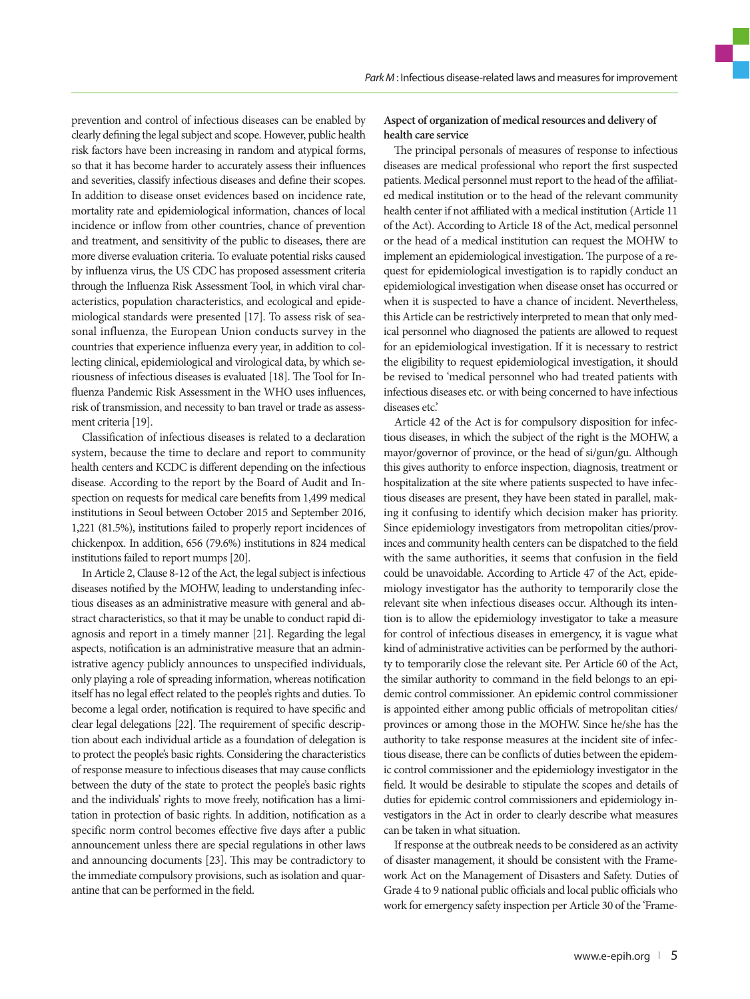prevention and control of infectious diseases can be enabled by clearly defining the legal subject and scope. However, public health risk factors have been increasing in random and atypical forms, so that it has become harder to accurately assess their influences and severities, classify infectious diseases and define their scopes. In addition to disease onset evidences based on incidence rate, mortality rate and epidemiological information, chances of local incidence or inflow from other countries, chance of prevention and treatment, and sensitivity of the public to diseases, there are more diverse evaluation criteria. To evaluate potential risks caused by influenza virus, the US CDC has proposed assessment criteria through the Influenza Risk Assessment Tool, in which viral characteristics, population characteristics, and ecological and epidemiological standards were presented [17]. To assess risk of seasonal influenza, the European Union conducts survey in the countries that experience influenza every year, in addition to collecting clinical, epidemiological and virological data, by which seriousness of infectious diseases is evaluated [18]. The Tool for Influenza Pandemic Risk Assessment in the WHO uses influences, risk of transmission, and necessity to ban travel or trade as assessment criteria [19].

Classification of infectious diseases is related to a declaration system, because the time to declare and report to community health centers and KCDC is different depending on the infectious disease. According to the report by the Board of Audit and Inspection on requests for medical care benefits from 1,499 medical institutions in Seoul between October 2015 and September 2016, 1,221 (81.5%), institutions failed to properly report incidences of chickenpox. In addition, 656 (79.6%) institutions in 824 medical institutions failed to report mumps [20].

In Article 2, Clause 8-12 of the Act, the legal subject is infectious diseases notified by the MOHW, leading to understanding infectious diseases as an administrative measure with general and abstract characteristics, so that it may be unable to conduct rapid diagnosis and report in a timely manner [21]. Regarding the legal aspects, notification is an administrative measure that an administrative agency publicly announces to unspecified individuals, only playing a role of spreading information, whereas notification itself has no legal effect related to the people's rights and duties. To become a legal order, notification is required to have specific and clear legal delegations [22]. The requirement of specific description about each individual article as a foundation of delegation is to protect the people's basic rights. Considering the characteristics of response measure to infectious diseases that may cause conflicts between the duty of the state to protect the people's basic rights and the individuals' rights to move freely, notification has a limitation in protection of basic rights. In addition, notification as a specific norm control becomes effective five days after a public announcement unless there are special regulations in other laws and announcing documents [23]. This may be contradictory to the immediate compulsory provisions, such as isolation and quarantine that can be performed in the field.

#### **Aspect of organization of medical resources and delivery of health care service**

The principal personals of measures of response to infectious diseases are medical professional who report the first suspected patients. Medical personnel must report to the head of the affiliated medical institution or to the head of the relevant community health center if not affiliated with a medical institution (Article 11 of the Act). According to Article 18 of the Act, medical personnel or the head of a medical institution can request the MOHW to implement an epidemiological investigation. The purpose of a request for epidemiological investigation is to rapidly conduct an epidemiological investigation when disease onset has occurred or when it is suspected to have a chance of incident. Nevertheless, this Article can be restrictively interpreted to mean that only medical personnel who diagnosed the patients are allowed to request for an epidemiological investigation. If it is necessary to restrict the eligibility to request epidemiological investigation, it should be revised to 'medical personnel who had treated patients with infectious diseases etc. or with being concerned to have infectious diseases etc.'

Article 42 of the Act is for compulsory disposition for infectious diseases, in which the subject of the right is the MOHW, a mayor/governor of province, or the head of si/gun/gu. Although this gives authority to enforce inspection, diagnosis, treatment or hospitalization at the site where patients suspected to have infectious diseases are present, they have been stated in parallel, making it confusing to identify which decision maker has priority. Since epidemiology investigators from metropolitan cities/provinces and community health centers can be dispatched to the field with the same authorities, it seems that confusion in the field could be unavoidable. According to Article 47 of the Act, epidemiology investigator has the authority to temporarily close the relevant site when infectious diseases occur. Although its intention is to allow the epidemiology investigator to take a measure for control of infectious diseases in emergency, it is vague what kind of administrative activities can be performed by the authority to temporarily close the relevant site. Per Article 60 of the Act, the similar authority to command in the field belongs to an epidemic control commissioner. An epidemic control commissioner is appointed either among public officials of metropolitan cities/ provinces or among those in the MOHW. Since he/she has the authority to take response measures at the incident site of infectious disease, there can be conflicts of duties between the epidemic control commissioner and the epidemiology investigator in the field. It would be desirable to stipulate the scopes and details of duties for epidemic control commissioners and epidemiology investigators in the Act in order to clearly describe what measures can be taken in what situation.

If response at the outbreak needs to be considered as an activity of disaster management, it should be consistent with the Framework Act on the Management of Disasters and Safety. Duties of Grade 4 to 9 national public officials and local public officials who work for emergency safety inspection per Article 30 of the 'Frame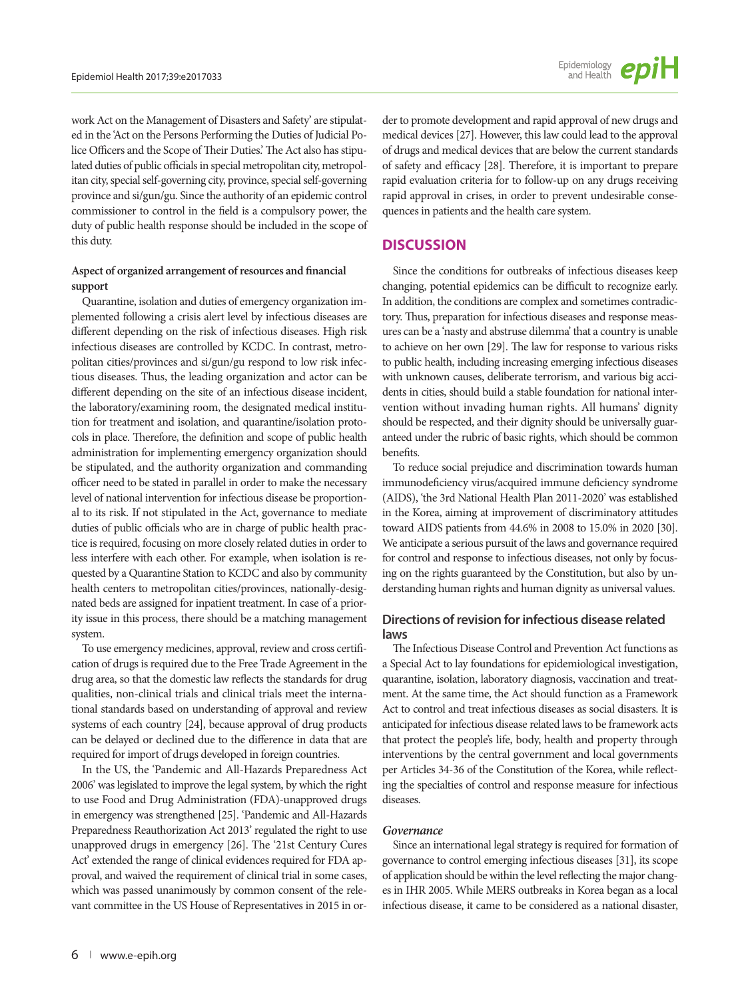work Act on the Management of Disasters and Safety' are stipulated in the 'Act on the Persons Performing the Duties of Judicial Police Officers and the Scope of Their Duties.' The Act also has stipulated duties of public officials in special metropolitan city, metropolitan city, special self-governing city, province, special self-governing province and si/gun/gu. Since the authority of an epidemic control commissioner to control in the field is a compulsory power, the duty of public health response should be included in the scope of this duty.

#### **Aspect of organized arrangement of resources and financial support**

Quarantine, isolation and duties of emergency organization implemented following a crisis alert level by infectious diseases are different depending on the risk of infectious diseases. High risk infectious diseases are controlled by KCDC. In contrast, metropolitan cities/provinces and si/gun/gu respond to low risk infectious diseases. Thus, the leading organization and actor can be different depending on the site of an infectious disease incident, the laboratory/examining room, the designated medical institution for treatment and isolation, and quarantine/isolation protocols in place. Therefore, the definition and scope of public health administration for implementing emergency organization should be stipulated, and the authority organization and commanding officer need to be stated in parallel in order to make the necessary level of national intervention for infectious disease be proportional to its risk. If not stipulated in the Act, governance to mediate duties of public officials who are in charge of public health practice is required, focusing on more closely related duties in order to less interfere with each other. For example, when isolation is requested by a Quarantine Station to KCDC and also by community health centers to metropolitan cities/provinces, nationally-designated beds are assigned for inpatient treatment. In case of a priority issue in this process, there should be a matching management system.

To use emergency medicines, approval, review and cross certification of drugs is required due to the Free Trade Agreement in the drug area, so that the domestic law reflects the standards for drug qualities, non-clinical trials and clinical trials meet the international standards based on understanding of approval and review systems of each country [24], because approval of drug products can be delayed or declined due to the difference in data that are required for import of drugs developed in foreign countries.

In the US, the 'Pandemic and All-Hazards Preparedness Act 2006' was legislated to improve the legal system, by which the right to use Food and Drug Administration (FDA)-unapproved drugs in emergency was strengthened [25]. 'Pandemic and All-Hazards Preparedness Reauthorization Act 2013' regulated the right to use unapproved drugs in emergency [26]. The '21st Century Cures Act' extended the range of clinical evidences required for FDA approval, and waived the requirement of clinical trial in some cases, which was passed unanimously by common consent of the relevant committee in the US House of Representatives in 2015 in order to promote development and rapid approval of new drugs and medical devices [27]. However, this law could lead to the approval of drugs and medical devices that are below the current standards of safety and efficacy [28]. Therefore, it is important to prepare rapid evaluation criteria for to follow-up on any drugs receiving rapid approval in crises, in order to prevent undesirable consequences in patients and the health care system.

## **DISCUSSION**

Since the conditions for outbreaks of infectious diseases keep changing, potential epidemics can be difficult to recognize early. In addition, the conditions are complex and sometimes contradictory. Thus, preparation for infectious diseases and response measures can be a 'nasty and abstruse dilemma' that a country is unable to achieve on her own [29]. The law for response to various risks to public health, including increasing emerging infectious diseases with unknown causes, deliberate terrorism, and various big accidents in cities, should build a stable foundation for national intervention without invading human rights. All humans' dignity should be respected, and their dignity should be universally guaranteed under the rubric of basic rights, which should be common benefits.

To reduce social prejudice and discrimination towards human immunodeficiency virus/acquired immune deficiency syndrome (AIDS), 'the 3rd National Health Plan 2011-2020' was established in the Korea, aiming at improvement of discriminatory attitudes toward AIDS patients from 44.6% in 2008 to 15.0% in 2020 [30]. We anticipate a serious pursuit of the laws and governance required for control and response to infectious diseases, not only by focusing on the rights guaranteed by the Constitution, but also by understanding human rights and human dignity as universal values.

## **Directions of revision for infectious disease related laws**

The Infectious Disease Control and Prevention Act functions as a Special Act to lay foundations for epidemiological investigation, quarantine, isolation, laboratory diagnosis, vaccination and treatment. At the same time, the Act should function as a Framework Act to control and treat infectious diseases as social disasters. It is anticipated for infectious disease related laws to be framework acts that protect the people's life, body, health and property through interventions by the central government and local governments per Articles 34-36 of the Constitution of the Korea, while reflecting the specialties of control and response measure for infectious diseases.

#### *Governance*

Since an international legal strategy is required for formation of governance to control emerging infectious diseases [31], its scope of application should be within the level reflecting the major changes in IHR 2005. While MERS outbreaks in Korea began as a local infectious disease, it came to be considered as a national disaster,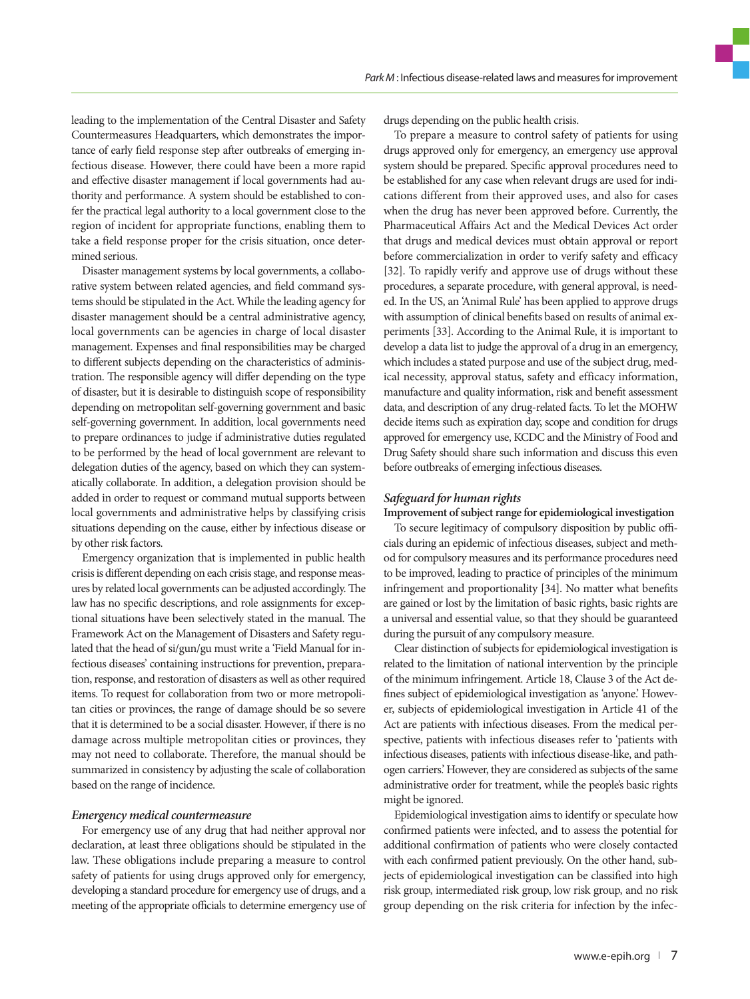leading to the implementation of the Central Disaster and Safety Countermeasures Headquarters, which demonstrates the importance of early field response step after outbreaks of emerging infectious disease. However, there could have been a more rapid and effective disaster management if local governments had authority and performance. A system should be established to confer the practical legal authority to a local government close to the region of incident for appropriate functions, enabling them to take a field response proper for the crisis situation, once determined serious.

Disaster management systems by local governments, a collaborative system between related agencies, and field command systems should be stipulated in the Act. While the leading agency for disaster management should be a central administrative agency, local governments can be agencies in charge of local disaster management. Expenses and final responsibilities may be charged to different subjects depending on the characteristics of administration. The responsible agency will differ depending on the type of disaster, but it is desirable to distinguish scope of responsibility depending on metropolitan self-governing government and basic self-governing government. In addition, local governments need to prepare ordinances to judge if administrative duties regulated to be performed by the head of local government are relevant to delegation duties of the agency, based on which they can systematically collaborate. In addition, a delegation provision should be added in order to request or command mutual supports between local governments and administrative helps by classifying crisis situations depending on the cause, either by infectious disease or by other risk factors.

Emergency organization that is implemented in public health crisis is different depending on each crisis stage, and response measures by related local governments can be adjusted accordingly. The law has no specific descriptions, and role assignments for exceptional situations have been selectively stated in the manual. The Framework Act on the Management of Disasters and Safety regulated that the head of si/gun/gu must write a 'Field Manual for infectious diseases' containing instructions for prevention, preparation, response, and restoration of disasters as well as other required items. To request for collaboration from two or more metropolitan cities or provinces, the range of damage should be so severe that it is determined to be a social disaster. However, if there is no damage across multiple metropolitan cities or provinces, they may not need to collaborate. Therefore, the manual should be summarized in consistency by adjusting the scale of collaboration based on the range of incidence.

#### *Emergency medical countermeasure*

For emergency use of any drug that had neither approval nor declaration, at least three obligations should be stipulated in the law. These obligations include preparing a measure to control safety of patients for using drugs approved only for emergency, developing a standard procedure for emergency use of drugs, and a meeting of the appropriate officials to determine emergency use of drugs depending on the public health crisis.

To prepare a measure to control safety of patients for using drugs approved only for emergency, an emergency use approval system should be prepared. Specific approval procedures need to be established for any case when relevant drugs are used for indications different from their approved uses, and also for cases when the drug has never been approved before. Currently, the Pharmaceutical Affairs Act and the Medical Devices Act order that drugs and medical devices must obtain approval or report before commercialization in order to verify safety and efficacy [32]. To rapidly verify and approve use of drugs without these procedures, a separate procedure, with general approval, is needed. In the US, an 'Animal Rule' has been applied to approve drugs with assumption of clinical benefits based on results of animal experiments [33]. According to the Animal Rule, it is important to develop a data list to judge the approval of a drug in an emergency, which includes a stated purpose and use of the subject drug, medical necessity, approval status, safety and efficacy information, manufacture and quality information, risk and benefit assessment data, and description of any drug-related facts. To let the MOHW decide items such as expiration day, scope and condition for drugs approved for emergency use, KCDC and the Ministry of Food and Drug Safety should share such information and discuss this even before outbreaks of emerging infectious diseases.

#### *Safeguard for human rights*

**Improvement of subject range for epidemiological investigation**

To secure legitimacy of compulsory disposition by public officials during an epidemic of infectious diseases, subject and method for compulsory measures and its performance procedures need to be improved, leading to practice of principles of the minimum infringement and proportionality [34]. No matter what benefits are gained or lost by the limitation of basic rights, basic rights are a universal and essential value, so that they should be guaranteed during the pursuit of any compulsory measure.

Clear distinction of subjects for epidemiological investigation is related to the limitation of national intervention by the principle of the minimum infringement. Article 18, Clause 3 of the Act defines subject of epidemiological investigation as 'anyone.' However, subjects of epidemiological investigation in Article 41 of the Act are patients with infectious diseases. From the medical perspective, patients with infectious diseases refer to 'patients with infectious diseases, patients with infectious disease-like, and pathogen carriers.' However, they are considered as subjects of the same administrative order for treatment, while the people's basic rights might be ignored.

Epidemiological investigation aims to identify or speculate how confirmed patients were infected, and to assess the potential for additional confirmation of patients who were closely contacted with each confirmed patient previously. On the other hand, subjects of epidemiological investigation can be classified into high risk group, intermediated risk group, low risk group, and no risk group depending on the risk criteria for infection by the infec-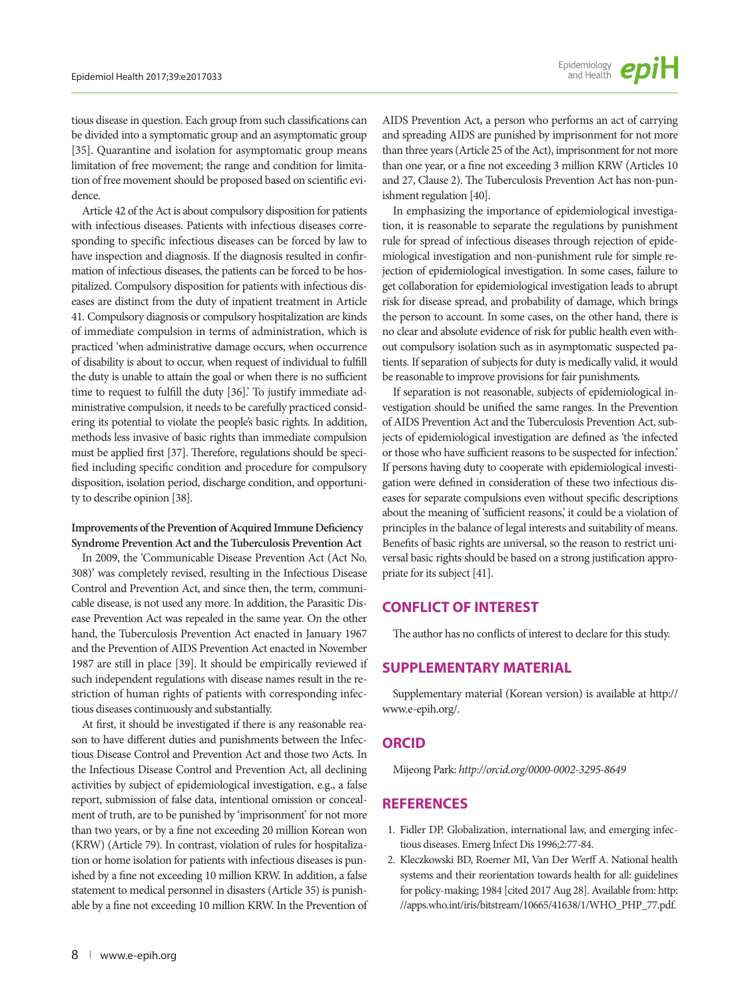tious disease in question. Each group from such classifications can be divided into a symptomatic group and an asymptomatic group [35]. Quarantine and isolation for asymptomatic group means limitation of free movement; the range and condition for limitation of free movement should be proposed based on scientific evidence.

Article 42 of the Act is about compulsory disposition for patients with infectious diseases. Patients with infectious diseases corresponding to specific infectious diseases can be forced by law to have inspection and diagnosis. If the diagnosis resulted in confirmation of infectious diseases, the patients can be forced to be hospitalized. Compulsory disposition for patients with infectious diseases are distinct from the duty of inpatient treatment in Article 41. Compulsory diagnosis or compulsory hospitalization are kinds of immediate compulsion in terms of administration, which is practiced 'when administrative damage occurs, when occurrence of disability is about to occur, when request of individual to fulfill the duty is unable to attain the goal or when there is no sufficient time to request to fulfill the duty [36].' To justify immediate administrative compulsion, it needs to be carefully practiced considering its potential to violate the people's basic rights. In addition, methods less invasive of basic rights than immediate compulsion must be applied first [37]. Therefore, regulations should be specified including specific condition and procedure for compulsory disposition, isolation period, discharge condition, and opportunity to describe opinion [38].

#### **Improvements of the Prevention of Acquired Immune Deficiency Syndrome Prevention Act and the Tuberculosis Prevention Act**

In 2009, the 'Communicable Disease Prevention Act (Act No. 308)' was completely revised, resulting in the Infectious Disease Control and Prevention Act, and since then, the term, communicable disease, is not used any more. In addition, the Parasitic Disease Prevention Act was repealed in the same year. On the other hand, the Tuberculosis Prevention Act enacted in January 1967 and the Prevention of AIDS Prevention Act enacted in November 1987 are still in place [39]. It should be empirically reviewed if such independent regulations with disease names result in the restriction of human rights of patients with corresponding infectious diseases continuously and substantially.

At first, it should be investigated if there is any reasonable reason to have different duties and punishments between the Infectious Disease Control and Prevention Act and those two Acts. In the Infectious Disease Control and Prevention Act, all declining activities by subject of epidemiological investigation, e.g., a false report, submission of false data, intentional omission or concealment of truth, are to be punished by 'imprisonment' for not more than two years, or by a fine not exceeding 20 million Korean won (KRW) (Article 79). In contrast, violation of rules for hospitalization or home isolation for patients with infectious diseases is punished by a fine not exceeding 10 million KRW. In addition, a false statement to medical personnel in disasters (Article 35) is punishable by a fine not exceeding 10 million KRW. In the Prevention of AIDS Prevention Act, a person who performs an act of carrying and spreading AIDS are punished by imprisonment for not more than three years (Article 25 of the Act), imprisonment for not more than one year, or a fine not exceeding 3 million KRW (Articles 10 and 27, Clause 2). The Tuberculosis Prevention Act has non-punishment regulation [40].

In emphasizing the importance of epidemiological investigation, it is reasonable to separate the regulations by punishment rule for spread of infectious diseases through rejection of epidemiological investigation and non-punishment rule for simple rejection of epidemiological investigation. In some cases, failure to get collaboration for epidemiological investigation leads to abrupt risk for disease spread, and probability of damage, which brings the person to account. In some cases, on the other hand, there is no clear and absolute evidence of risk for public health even without compulsory isolation such as in asymptomatic suspected patients. If separation of subjects for duty is medically valid, it would be reasonable to improve provisions for fair punishments.

If separation is not reasonable, subjects of epidemiological investigation should be unified the same ranges. In the Prevention of AIDS Prevention Act and the Tuberculosis Prevention Act, subjects of epidemiological investigation are defined as 'the infected or those who have sufficient reasons to be suspected for infection.' If persons having duty to cooperate with epidemiological investigation were defined in consideration of these two infectious diseases for separate compulsions even without specific descriptions about the meaning of 'sufficient reasons,' it could be a violation of principles in the balance of legal interests and suitability of means. Benefits of basic rights are universal, so the reason to restrict universal basic rights should be based on a strong justification appropriate for its subject [41].

## **CONFLICT OF INTEREST**

The author has no conflicts of interest to declare for this study.

## **SUPPLEMENTARY MATERIAL**

Supplementary material (Korean version) is available at http:// www.e-epih.org/.

## **ORCID**

Mijeong Park: *http://orcid.org/0000-0002-3295-8649*

## **REFERENCES**

- 1. Fidler DP. Globalization, international law, and emerging infectious diseases. Emerg Infect Dis 1996;2:77-84.
- 2. Kleczkowski BD, Roemer MI, Van Der Werff A. National health systems and their reorientation towards health for all: guidelines for policy-making; 1984 [cited 2017 Aug 28]. Available from: http: //apps.who.int/iris/bitstream/10665/41638/1/WHO\_PHP\_77.pdf.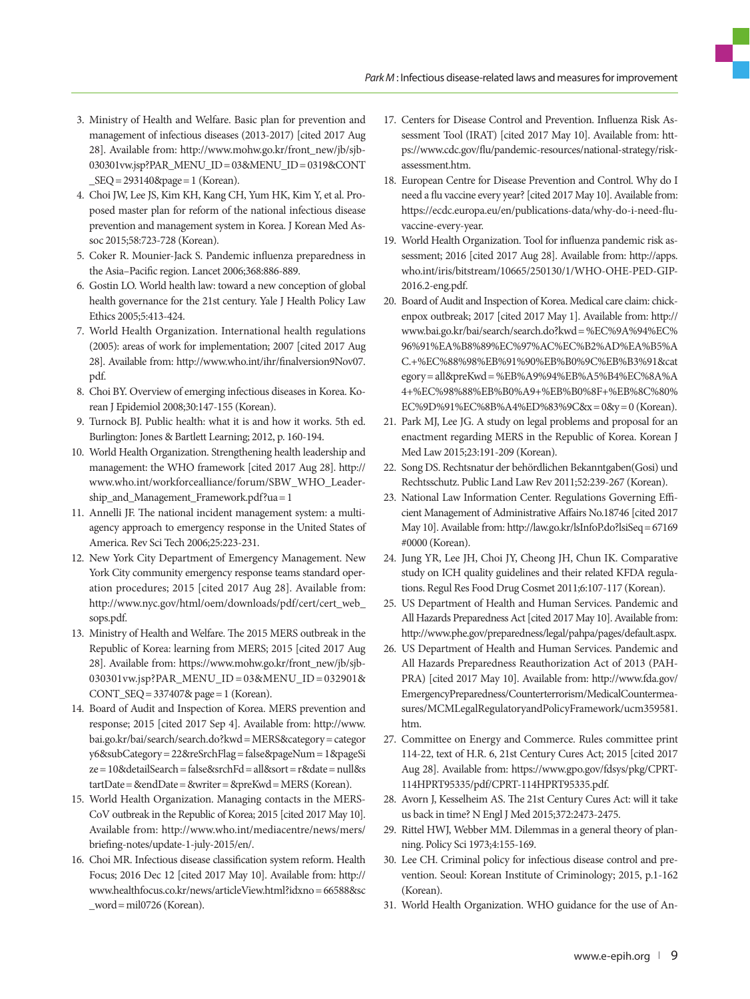- 3. Ministry of Health and Welfare. Basic plan for prevention and management of infectious diseases (2013-2017) [cited 2017 Aug 28]. Available from: [http://www.mohw.go.kr/front\\_new/jb/sjb-](http://www.mohw.go.kr/front_new/jb/sjb030301vw.jsp?PAR_MENU_ID=03&MENU_ID=0319&CONT_SEQ=293140&page=1)[030301vw.jsp?PAR\\_MENU\\_ID= 03&MENU\\_ID= 0319&CONT](http://www.mohw.go.kr/front_new/jb/sjb030301vw.jsp?PAR_MENU_ID=03&MENU_ID=0319&CONT_SEQ=293140&page=1)   $SEQ = 293140$ &page = 1 (Korean).
- 4. Choi JW, Lee JS, Kim KH, Kang CH, Yum HK, Kim Y, et al. Proposed master plan for reform of the national infectious disease prevention and management system in Korea. J Korean Med Assoc 2015;58:723-728 (Korean).
- 5. Coker R. Mounier-Jack S. Pandemic influenza preparedness in the Asia–Pacific region. Lancet 2006;368:886-889.
- 6. Gostin LO. World health law: toward a new conception of global health governance for the 21st century. Yale J Health Policy Law Ethics 2005;5:413-424.
- 7. World Health Organization. International health regulations (2005): areas of work for implementation; 2007 [cited 2017 Aug 28]. Available from: http://www.who.int/ihr/finalversion9Nov07. pdf.
- 8. Choi BY. Overview of emerging infectious diseases in Korea. Korean J Epidemiol 2008;30:147-155 (Korean).
- 9. Turnock BJ. Public health: what it is and how it works. 5th ed. Burlington: Jones & Bartlett Learning; 2012, p. 160-194.
- 10. World Health Organization. Strengthening health leadership and management: the WHO framework [cited 2017 Aug 28]. http:// www.who.int/workforcealliance/forum/SBW\_WHO\_Leadership\_and\_Management\_Framework.pdf?ua= 1
- 11. Annelli JF. The national incident management system: a multiagency approach to emergency response in the United States of America. Rev Sci Tech 2006;25:223-231.
- 12. New York City Department of Emergency Management. New York City community emergency response teams standard operation procedures; 2015 [cited 2017 Aug 28]. Available from: http://www.nyc.gov/html/oem/downloads/pdf/cert/cert\_web\_ sops.pdf.
- 13. Ministry of Health and Welfare. The 2015 MERS outbreak in the Republic of Korea: learning from MERS; 2015 [cited 2017 Aug 28]. Available from: [https://www.mohw.go.kr/front\\_new/jb/sjb-](https://www.mohw.go.kr/front_new/jb/sjb030301vw.jsp?PAR_MENU_ID=03&MENU_ID=032901&CONT_SEQ=337407& page=1)[030301vw.jsp?PAR\\_MENU\\_ID = 03&MENU\\_ID = 032901&](https://www.mohw.go.kr/front_new/jb/sjb030301vw.jsp?PAR_MENU_ID=03&MENU_ID=032901&CONT_SEQ=337407& page=1)  [CONT\\_SEQ= 337407& page= 1](https://www.mohw.go.kr/front_new/jb/sjb030301vw.jsp?PAR_MENU_ID=03&MENU_ID=032901&CONT_SEQ=337407& page=1) (Korean).
- 14. Board of Audit and Inspection of Korea. MERS prevention and response; 2015 [cited 2017 Sep 4]. Available from: http://www. bai.go.kr/bai/search/search.do?kwd= MERS&category= categor y6&subCategory= 22&reSrchFlag= false&pageNum= 1&pageSi ze= 10&detailSearch= false&srchFd= all&sort= r&date= null&s tartDate= &endDate= &writer= &preKwd= MERS (Korean).
- 15. World Health Organization. Managing contacts in the MERS-CoV outbreak in the Republic of Korea; 2015 [cited 2017 May 10]. Available from: [http://www.who.int/mediacentre/news/mers/](http://www.who.int/mediacentre/news/mers/briefing-notes/update-1-july-2015/en/) [briefing-notes/update-1-july-2015/en/.](http://www.who.int/mediacentre/news/mers/briefing-notes/update-1-july-2015/en/)
- 16. Choi MR. Infectious disease classification system reform. Health Focus; 2016 Dec 12 [cited 2017 May 10]. Available from: http:// www.healthfocus.co.kr/news/articleView.html?idxno= 66588&sc \_word= mil0726 (Korean).
- 17. Centers for Disease Control and Prevention. Influenza Risk Assessment Tool (IRAT) [cited 2017 May 10]. Available from: https://www.cdc.gov/flu/pandemic-resources/national-strategy/riskassessment.htm.
- 18. European Centre for Disease Prevention and Control. Why do I need a flu vaccine every year? [cited 2017 May 10]. Available from: https://ecdc.europa.eu/en/publications-data/why-do-i-need-fluvaccine-every-year.
- 19. World Health Organization. Tool for influenza pandemic risk assessment; 2016 [cited 2017 Aug 28]. Available from: http://apps. who.int/iris/bitstream/10665/250130/1/WHO-OHE-PED-GIP-2016.2-eng.pdf.
- 20. Board of Audit and Inspection of Korea. Medical care claim: chickenpox outbreak; 2017 [cited 2017 May 1]. Available from: http:// www.bai.go.kr/bai/search/search.do?kwd= %EC%9A%94%EC% 96%91%EA%B8%89%EC%97%AC%EC%B2%AD%EA%B5%A C.+%EC%88%98%EB%91%90%EB%B0%9C%EB%B3%91&cat egory= all&preKwd= %EB%A9%94%EB%A5%B4%EC%8A%A 4+%EC%98%88%EB%B0%A9+%EB%B0%8F+%EB%8C%80% EC%9D%91%EC%8B%A4%ED%83%9C&x= 0&y= 0 (Korean).
- 21. Park MJ, Lee JG. A study on legal problems and proposal for an enactment regarding MERS in the Republic of Korea. Korean J Med Law 2015;23:191-209 (Korean).
- 22. Song DS. Rechtsnatur der behördlichen Bekanntgaben(Gosi) und Rechtsschutz. Public Land Law Rev 2011;52:239-267 (Korean).
- 23. National Law Information Center. Regulations Governing Efficient Management of Administrative Affairs No.18746 [cited 2017 May 10]. Available from: http://law.go.kr/lsInfoP.do?lsiSeq= 67169 #0000 (Korean).
- 24. Jung YR, Lee JH, Choi JY, Cheong JH, Chun IK. Comparative study on ICH quality guidelines and their related KFDA regulations. Regul Res Food Drug Cosmet 2011;6:107-117 (Korean).
- 25. US Department of Health and Human Services. Pandemic and All Hazards Preparedness Act [cited 2017 May 10]. Available from: http://www.phe.gov/preparedness/legal/pahpa/pages/default.aspx.
- 26. US Department of Health and Human Services. Pandemic and All Hazards Preparedness Reauthorization Act of 2013 (PAH-PRA) [cited 2017 May 10]. Available from: http://www.fda.gov/ EmergencyPreparedness/Counterterrorism/MedicalCountermeasures/MCMLegalRegulatoryandPolicyFramework/ucm359581. htm.
- 27. Committee on Energy and Commerce. Rules committee print 114-22, text of H.R. 6, 21st Century Cures Act; 2015 [cited 2017 Aug 28]. Available from: https://www.gpo.gov/fdsys/pkg/CPRT-114HPRT95335/pdf/CPRT-114HPRT95335.pdf.
- 28. Avorn J, Kesselheim AS. The 21st Century Cures Act: will it take us back in time? N Engl J Med 2015;372:2473-2475.
- 29. Rittel HWJ, Webber MM. Dilemmas in a general theory of planning. Policy Sci 1973;4:155-169.
- 30. Lee CH. Criminal policy for infectious disease control and prevention. Seoul: Korean Institute of Criminology; 2015, p.1-162 (Korean).
- 31. World Health Organization. WHO guidance for the use of An-